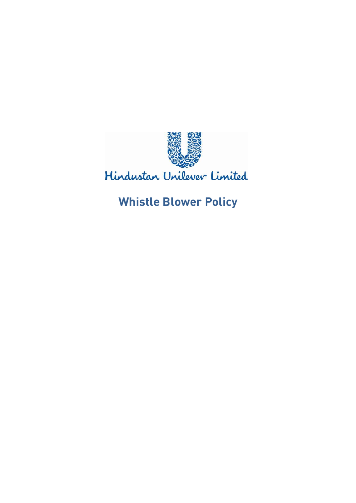

## Hindustan Unilever Limited

# **Whistle Blower Policy**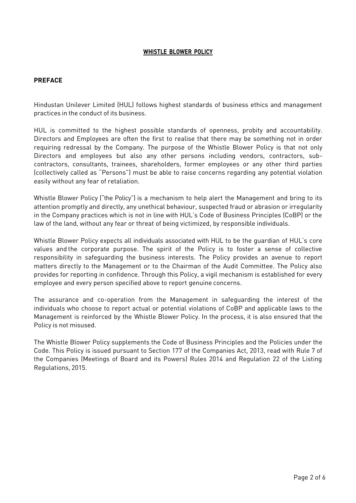#### **WHISTLE BLOWER POLICY**

## **PREFACE**

Hindustan Unilever Limited (HUL) follows highest standards of business ethics and management practices in the conduct of its business.

HUL is committed to the highest possible standards of openness, probity and accountability. Directors and Employees are often the first to realise that there may be something not in order requiring redressal by the Company. The purpose of the Whistle Blower Policy is that not only Directors and employees but also any other persons including vendors, contractors, subcontractors, consultants, trainees, shareholders, former employees or any other third parties (collectively called as "Persons") must be able to raise concerns regarding any potential violation easily without any fear of retaliation.

Whistle Blower Policy ("the Policy") is a mechanism to help alert the Management and bring to its attention promptly and directly, any unethical behaviour, suspected fraud or abrasion or irregularity in the Company practices which is not in line with HUL's Code of Business Principles (CoBP) or the law of the land, without any fear or threat of being victimized, by responsible individuals.

Whistle Blower Policy expects all individuals associated with HUL to be the guardian of HUL's core values and the corporate purpose. The spirit of the Policy is to foster a sense of collective responsibility in safeguarding the business interests. The Policy provides an avenue to report matters directly to the Management or to the Chairman of the Audit Committee. The Policy also provides for reporting in confidence. Through this Policy, a vigil mechanism is established for every employee and every person specified above to report genuine concerns.

The assurance and co-operation from the Management in safeguarding the interest of the individuals who choose to report actual or potential violations of CoBP and applicable laws to the Management is reinforced by the Whistle Blower Policy. In the process, it is also ensured that the Policy is not misused.

The Whistle Blower Policy supplements the Code of Business Principles and the Policies under the Code. This Policy is issued pursuant to Section 177 of the Companies Act, 2013, read with Rule 7 of the Companies (Meetings of Board and its Powers) Rules 2014 and Regulation 22 of the Listing Regulations, 2015.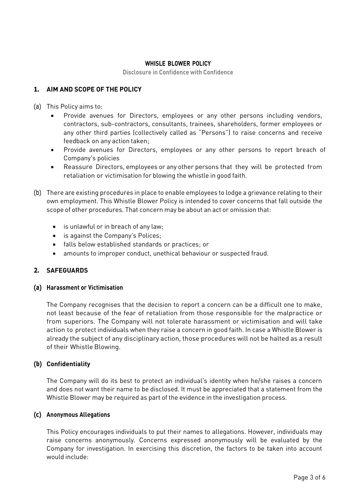#### **WHISLE BLOWER POLICY**

**Disclosure in Confidence with Confidence**

## **1. AIM AND SCOPE OF THE POLICY**

- (a) This Policy aims to:
	- Provide avenues for Directors, employees or any other persons including vendors, contractors, sub-contractors, consultants, trainees, shareholders, former employees or any other third parties (collectively called as "Persons") to raise concerns and receive feedback on any action taken;
	- Provide avenues for Directors, employees or any other persons to report breach of Company's policies
	- Reassure Directors, employees or any other persons that they will be protected from retaliation or victimisation for blowing the whistle in good faith.
- (b) There are existing procedures in place to enable employees to lodge a grievance relating to their own employment. This Whistle Blower Policy is intended to cover concerns that fall outside the scope of other procedures. That concern may be about an act or omission that:
	- is unlawful or in breach of any law;
	- is against the Company's Polices;
	- falls below established standards or practices; or
	- amounts to improper conduct, unethical behaviour or suspected fraud.

## **2. SAFEGUARDS**

#### **(a) Harassment or Victimisation**

The Company recognises that the decision to report a concern can be a difficult one to make, not least because of the fear of retaliation from those responsible for the malpractice or from superiors. The Company will not tolerate harassment or victimisation and will take action to protect individuals when they raise a concern in good faith. In case a Whistle Blower is already the subject of any disciplinary action, those procedures will not be halted as a result of their Whistle Blowing.

#### **(b) Confidentiality**

The Company will do its best to protect an individual's identity when he/she raises a concern and does not want their name to be disclosed. It must be appreciated that a statement from the Whistle Blower may be required as part of the evidence in the investigation process.

#### **(c) Anonymous Allegations**

This Policy encourages individuals to put their names to allegations. However, individuals may raise concerns anonymously. Concerns expressed anonymously will be evaluated by the Company for investigation. In exercising this discretion, the factors to be taken into account would include: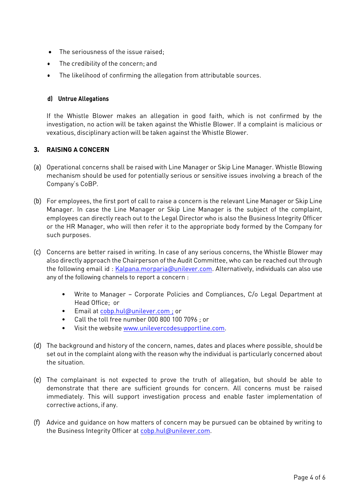- The seriousness of the issue raised;
- The credibility of the concern; and
- The likelihood of confirming the allegation from attributable sources.

## **d) Untrue Allegations**

If the Whistle Blower makes an allegation in good faith, which is not confirmed by the investigation, no action will be taken against the Whistle Blower. If a complaint is malicious or vexatious, disciplinary action will be taken against the Whistle Blower.

## **3. RAISING A CONCERN**

- (a) Operational concerns shall be raised with Line Manager or Skip Line Manager. Whistle Blowing mechanism should be used for potentially serious or sensitive issues involving a breach of the Company's CoBP.
- (b) For employees, the first port of call to raise a concern is the relevant Line Manager or Skip Line Manager. In case the Line Manager or Skip Line Manager is the subject of the complaint, employees can directly reach out to the Legal Director who is also the Business Integrity Officer or the HR Manager, who will then refer it to the appropriate body formed by the Company for such purposes.
- (c) Concerns are better raised in writing. In case of any serious concerns, the Whistle Blower may also directly approach the Chairperson of the Audit Committee, who can be reached out through the following email id : [Kalpana.morparia@unilever.com.](mailto:Kalpana.morparia@unilever.com) Alternatively, individuals can also use any of the following channels to report a concern :
	- Write to Manager Corporate Policies and Compliances, C/o Legal Department at Head Office; or
	- Email at [cobp.hul@unilever.com](mailto:cobp.hul@unilever.com) ; or
	- Call the toll free number 000 800 100 7096 ; or
	- Visit the website [www.unilevercodesupportline.com.](http://www.unilevercodesupportline.com/)
- (d) The background and history of the concern, names, dates and places where possible, should be set out in the complaint along with the reason why the individual is particularly concerned about the situation.
- (e) The complainant is not expected to prove the truth of allegation, but should be able to demonstrate that there are sufficient grounds for concern. All concerns must be raised immediately. This will support investigation process and enable faster implementation of corrective actions, if any.
- (f) Advice and guidance on how matters of concern may be pursued can be obtained by writing to the Business Integrity Officer at [cobp.hul@unilever.com.](mailto:cobp.hul@unilever.com)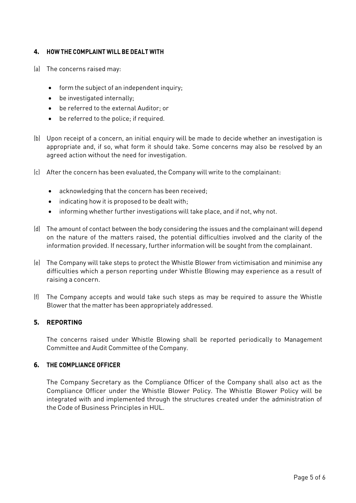## **4. HOW THE COMPLAINT WILL BE DEALT WITH**

- (a) The concerns raised may:
	- form the subject of an independent inquiry;
	- be investigated internally;
	- be referred to the external Auditor; or
	- be referred to the police; if required.
- (b) Upon receipt of a concern, an initial enquiry will be made to decide whether an investigation is appropriate and, if so, what form it should take. Some concerns may also be resolved by an agreed action without the need for investigation.
- (c) After the concern has been evaluated, the Company will write to the complainant:
	- acknowledging that the concern has been received;
	- indicating how it is proposed to be dealt with;
	- informing whether further investigations will take place, and if not, why not.
- (d) The amount of contact between the body considering the issues and the complainant will depend on the nature of the matters raised, the potential difficulties involved and the clarity of the information provided. If necessary, further information will be sought from the complainant.
- (e) The Company will take steps to protect the Whistle Blower from victimisation and minimise any difficulties which a person reporting under Whistle Blowing may experience as a result of raising a concern.
- (f) The Company accepts and would take such steps as may be required to assure the Whistle Blower that the matter has been appropriately addressed.

## **5. REPORTING**

The concerns raised under Whistle Blowing shall be reported periodically to Management Committee and Audit Committee of the Company.

#### **6. THE COMPLIANCE OFFICER**

The Company Secretary as the Compliance Officer of the Company shall also act as the Compliance Officer under the Whistle Blower Policy. The Whistle Blower Policy will be integrated with and implemented through the structures created under the administration of the Code of Business Principles in HUL.